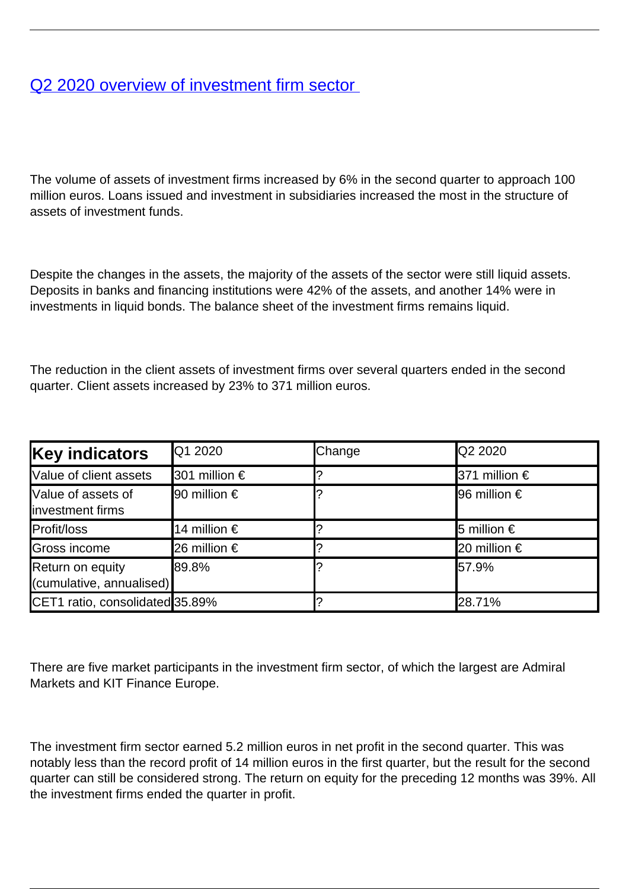## [Q2 2020 overview of investment firm sector](/en/publications/q2-2020-overview-investment-firm-sector)

The volume of assets of investment firms increased by 6% in the second quarter to approach 100 million euros. Loans issued and investment in subsidiaries increased the most in the structure of assets of investment funds.

Despite the changes in the assets, the majority of the assets of the sector were still liquid assets. Deposits in banks and financing institutions were 42% of the assets, and another 14% were in investments in liquid bonds. The balance sheet of the investment firms remains liquid.

The reduction in the client assets of investment firms over several quarters ended in the second quarter. Client assets increased by 23% to 371 million euros.

| <b>Key indicators</b>                        | Q1 2020               | Change | Q2 2020               |
|----------------------------------------------|-----------------------|--------|-----------------------|
| Value of client assets                       | 301 million €         |        | 371 million €         |
| Value of assets of<br>linvestment firms      | l90 million €         |        | <b>I</b> 96 million € |
| Profit/loss                                  | 14 million $\epsilon$ |        | 5 million $\epsilon$  |
| Gross income                                 | <b>26 million €</b>   |        | 20 million €          |
| Return on equity<br>(cumulative, annualised) | <b>89.8%</b>          |        | 57.9%                 |
| CET1 ratio, consolidated 35.89%              |                       |        | 28.71%                |

There are five market participants in the investment firm sector, of which the largest are Admiral Markets and KIT Finance Europe.

The investment firm sector earned 5.2 million euros in net profit in the second quarter. This was notably less than the record profit of 14 million euros in the first quarter, but the result for the second quarter can still be considered strong. The return on equity for the preceding 12 months was 39%. All the investment firms ended the quarter in profit.